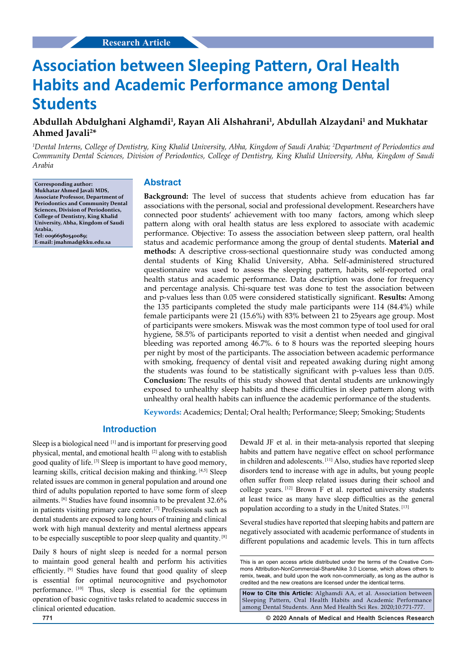# **Association between Sleeping Pattern, Oral Health Habits and Academic Performance among Dental Students**

## Abdullah Abdulghani Alghamdi<sup>1</sup>, Rayan Ali Alshahrani<sup>1</sup>, Abdullah Alzaydani<sup>1</sup> and Mukhatar **Ahmed Javali2 \***

*1 Dental Interns, College of Dentistry, King Khalid University, Abha, Kingdom of Saudi Arabia; 2 Department of Periodontics and Community Dental Sciences, Division of Periodontics, College of Dentistry, King Khalid University, Abha, Kingdom of Saudi Arabia*

**Corresponding author: Mukhatar Ahmed Javali MDS, Associate Professor, Department of Periodontics and Community Dental Sciences, Division of Periodontics, College of Dentistry, King Khalid University, Abha, Kingdom of Saudi Arabia, Tel: 00966580540089; E-mail: jmahmad@kku.edu.sa**

#### **Abstract**

**Background:** The level of success that students achieve from education has far associations with the personal, social and professional development. Researchers have connected poor students' achievement with too many factors, among which sleep pattern along with oral health status are less explored to associate with academic performance. Objective: To assess the association between sleep pattern, oral health status and academic performance among the group of dental students. **Material and methods:** A descriptive cross-sectional questionnaire study was conducted among dental students of King Khalid University, Abha. Self-administered structured questionnaire was used to assess the sleeping pattern, habits, self-reported oral health status and academic performance. Data description was done for frequency and percentage analysis. Chi-square test was done to test the association between and p-values less than 0.05 were considered statistically significant. **Results:** Among the 135 participants completed the study male participants were 114 (84.4%) while female participants were 21 (15.6%) with 83% between 21 to 25years age group. Most of participants were smokers. Miswak was the most common type of tool used for oral hygiene, 58.5% of participants reported to visit a dentist when needed and gingival bleeding was reported among 46.7%. 6 to 8 hours was the reported sleeping hours per night by most of the participants. The association between academic performance with smoking, frequency of dental visit and repeated awaking during night among the students was found to be statistically significant with p-values less than 0.05. **Conclusion:** The results of this study showed that dental students are unknowingly exposed to unhealthy sleep habits and these difficulties in sleep pattern along with unhealthy oral health habits can influence the academic performance of the students.

**Keywords:** Academics; Dental; Oral health; Performance; Sleep; Smoking; Students

## **Introduction**

Sleep is a biological need [1] and is important for preserving good physical, mental, and emotional health [2] along with to establish good quality of life. [3] Sleep is important to have good memory, learning skills, critical decision making and thinking. [4,5] Sleep related issues are common in general population and around one third of adults population reported to have some form of sleep ailments. [6] Studies have found insomnia to be prevalent 32.6% in patients visiting primary care center. [7] Professionals such as dental students are exposed to long hours of training and clinical work with high manual dexterity and mental alertness appears to be especially susceptible to poor sleep quality and quantity. [8]

Daily 8 hours of night sleep is needed for a normal person to maintain good general health and perform his activities efficiently. [9] Studies have found that good quality of sleep is essential for optimal neurocognitive and psychomotor performance. [10] Thus, sleep is essential for the optimum operation of basic cognitive tasks related to academic success in clinical oriented education.

Dewald JF et al. in their meta-analysis reported that sleeping habits and pattern have negative effect on school performance in children and adolescents. [11] Also, studies have reported sleep disorders tend to increase with age in adults, but young people often suffer from sleep related issues during their school and college years. [12] Brown F et al. reported university students at least twice as many have sleep difficulties as the general population according to a study in the United States. [13]

Several studies have reported that sleeping habits and pattern are negatively associated with academic performance of students in different populations and academic levels. This in turn affects

**How to Cite this Article:** Alghamdi AA, et al. Association between Sleeping Pattern, Oral Health Habits and Academic Performance among Dental Students. Ann Med Health Sci Res. 2020;10:771-777.

**771 © 2020 Annals of Medical and Health Sciences Research** 

This is an open access article distributed under the terms of the Creative Commons Attribution‑NonCommercial‑ShareAlike 3.0 License, which allows others to remix, tweak, and build upon the work non‑commercially, as long as the author is credited and the new creations are licensed under the identical terms.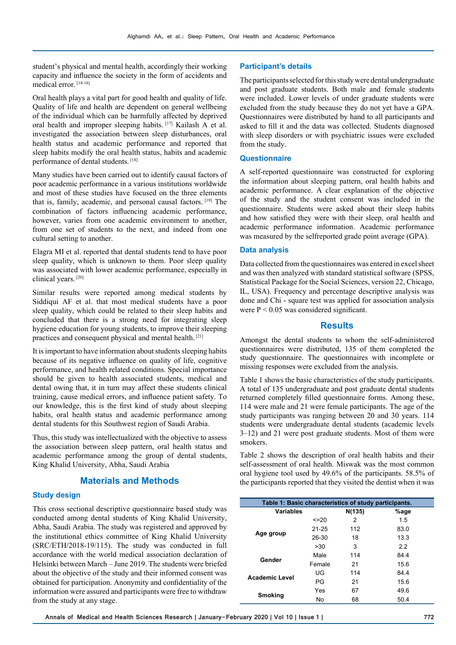student's physical and mental health, accordingly their working capacity and influence the society in the form of accidents and medical error. [14-16]

Oral health plays a vital part for good health and quality of life. Quality of life and health are dependent on general wellbeing of the individual which can be harmfully affected by deprived oral health and improper sleeping habits. [17] Kailash A et al. investigated the association between sleep disturbances, oral health status and academic performance and reported that sleep habits modify the oral health status, habits and academic performance of dental students. [18]

Many studies have been carried out to identify causal factors of poor academic performance in a various institutions worldwide and most of these studies have focused on the three elements that is, family, academic, and personal causal factors. [19] The combination of factors influencing academic performance, however, varies from one academic environment to another, from one set of students to the next, and indeed from one cultural setting to another.

Elagra MI et al. reported that dental students tend to have poor sleep quality, which is unknown to them. Poor sleep quality was associated with lower academic performance, especially in clinical years. [20]

Similar results were reported among medical students by Siddiqui AF et al. that most medical students have a poor sleep quality, which could be related to their sleep habits and concluded that there is a strong need for integrating sleep hygiene education for young students, to improve their sleeping practices and consequent physical and mental health. [21]

It is important to have information about students sleeping habits because of its negative influence on quality of life, cognitive performance, and health related conditions. Special importance should be given to health associated students, medical and dental owing that, it in turn may affect these students clinical training, cause medical errors, and influence patient safety. To our knowledge, this is the first kind of study about sleeping habits, oral health status and academic performance among dental students for this Southwest region of Saudi Arabia.

Thus, this study was intellectualized with the objective to assess the association between sleep pattern, oral health status and academic performance among the group of dental students, King Khalid University, Abha, Saudi Arabia

## **Materials and Methods**

#### **Study design**

This cross sectional descriptive questionnaire based study was conducted among dental students of King Khalid University, Abha, Saudi Arabia. The study was registered and approved by the institutional ethics committee of King Khalid University (SRC/ETH/2018-19/115). The study was conducted in full accordance with the world medical association declaration of Helsinki between March – June 2019. The students were briefed about the objective of the study and their informed consent was obtained for participation. Anonymity and confidentiality of the information were assured and participants were free to withdraw from the study at any stage.

#### **Participant's details**

The participants selected for this study were dental undergraduate and post graduate students. Both male and female students were included. Lower levels of under graduate students were excluded from the study because they do not yet have a GPA. Questionnaires were distributed by hand to all participants and asked to fill it and the data was collected. Students diagnosed with sleep disorders or with psychiatric issues were excluded from the study.

## **Questionnaire**

A self-reported questionnaire was constructed for exploring the information about sleeping pattern, oral health habits and academic performance. A clear explanation of the objective of the study and the student consent was included in the questionnaire. Students were asked about their sleep habits and how satisfied they were with their sleep, oral health and academic performance information. Academic performance was measured by the selfreported grade point average (GPA).

#### **Data analysis**

Data collected from the questionnaires was entered in excel sheet and was then analyzed with standard statistical software (SPSS, Statistical Package for the Social Sciences, version 22, Chicago, IL, USA). Frequency and percentage descriptive analysis was done and Chi - square test was applied for association analysis were  $P < 0.05$  was considered significant.

#### **Results**

Amongst the dental students to whom the self-administered questionnaires were distributed, 135 of them completed the study questionnaire. The questionnaires with incomplete or missing responses were excluded from the analysis.

Table 1 shows the basic characteristics of the study participants. A total of 135 undergraduate and post graduate dental students returned completely filled questionnaire forms. Among these, 114 were male and 21 were female participants. The age of the study participants was ranging between 20 and 30 years. 114 students were undergraduate dental students (academic levels 3–12) and 21 were post graduate students. Most of them were smokers.

Table 2 shows the description of oral health habits and their self-assessment of oral health. Miswak was the most common oral hygiene tool used by 49.6% of the participants. 58.5% of the participants reported that they visited the dentist when it was

| Table 1: Basic characteristics of study participants. |                         |                                                                     |      |  |  |  |  |  |  |
|-------------------------------------------------------|-------------------------|---------------------------------------------------------------------|------|--|--|--|--|--|--|
| <b>Variables</b>                                      |                         | N(135)                                                              | %age |  |  |  |  |  |  |
|                                                       | <=20                    | 2                                                                   | 1.5  |  |  |  |  |  |  |
|                                                       | $21 - 25$               | 112                                                                 | 83.0 |  |  |  |  |  |  |
| Age group                                             | 26-30<br>18<br>>30<br>3 |                                                                     | 13.3 |  |  |  |  |  |  |
|                                                       |                         |                                                                     | 2.2  |  |  |  |  |  |  |
|                                                       | Male                    | 114                                                                 | 84.4 |  |  |  |  |  |  |
| Gender                                                | Female                  | 21<br>15.6<br>114<br>84.4<br>21<br>15.6<br>67<br>49.6<br>68<br>50.4 |      |  |  |  |  |  |  |
| <b>Academic Level</b>                                 | UG                      |                                                                     |      |  |  |  |  |  |  |
|                                                       | PG                      |                                                                     |      |  |  |  |  |  |  |
|                                                       | Yes                     |                                                                     |      |  |  |  |  |  |  |
| Smoking                                               | No                      |                                                                     |      |  |  |  |  |  |  |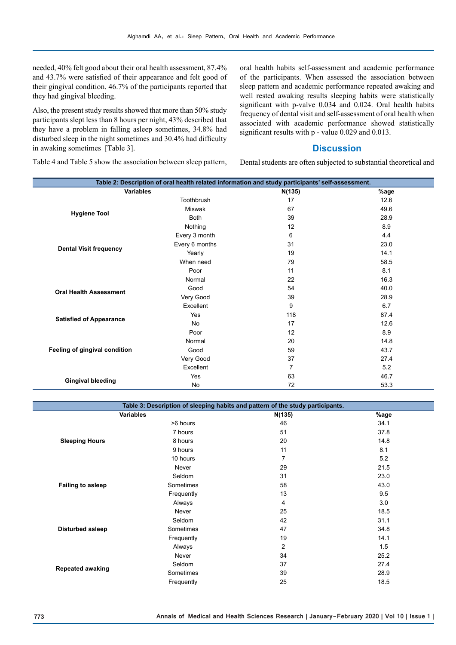needed, 40% felt good about their oral health assessment, 87.4% and 43.7% were satisfied of their appearance and felt good of their gingival condition. 46.7% of the participants reported that they had gingival bleeding.

Also, the present study results showed that more than 50% study participants slept less than 8 hours per night, 43% described that they have a problem in falling asleep sometimes, 34.8% had disturbed sleep in the night sometimes and 30.4% had difficulty in awaking sometimes [Table 3].

oral health habits self-assessment and academic performance of the participants. When assessed the association between sleep pattern and academic performance repeated awaking and well rested awaking results sleeping habits were statistically significant with p-valve 0.034 and 0.024. Oral health habits frequency of dental visit and self-assessment of oral health when associated with academic performance showed statistically significant results with p - value 0.029 and 0.013.

## **Discussion**

Table 4 and Table 5 show the association between sleep pattern,

Dental students are often subjected to substantial theoretical and

| Table 2: Description of oral health related information and study participants' self-assessment. |                                                                                                                                          |                                                                                                                                                                                                                                                                                        |      |  |  |  |  |  |
|--------------------------------------------------------------------------------------------------|------------------------------------------------------------------------------------------------------------------------------------------|----------------------------------------------------------------------------------------------------------------------------------------------------------------------------------------------------------------------------------------------------------------------------------------|------|--|--|--|--|--|
| <b>Variables</b>                                                                                 | %age                                                                                                                                     |                                                                                                                                                                                                                                                                                        |      |  |  |  |  |  |
|                                                                                                  | Toothbrush                                                                                                                               | 17                                                                                                                                                                                                                                                                                     | 12.6 |  |  |  |  |  |
| <b>Hygiene Tool</b>                                                                              | <b>Miswak</b>                                                                                                                            | 67                                                                                                                                                                                                                                                                                     | 49.6 |  |  |  |  |  |
|                                                                                                  | <b>Both</b>                                                                                                                              | N(135)<br>39<br>28.9<br>8.9<br>12<br>6<br>4.4<br>31<br>23.0<br>14.1<br>19<br>79<br>58.5<br>11<br>8.1<br>22<br>16.3<br>54<br>40.0<br>39<br>28.9<br>9<br>6.7<br>118<br>87.4<br>17<br>12.6<br>8.9<br>12<br>14.8<br>20<br>59<br>43.7<br>37<br>27.4<br>7<br>5.2<br>63<br>46.7<br>72<br>53.3 |      |  |  |  |  |  |
|                                                                                                  | Nothing                                                                                                                                  |                                                                                                                                                                                                                                                                                        |      |  |  |  |  |  |
|                                                                                                  | Every 3 month                                                                                                                            |                                                                                                                                                                                                                                                                                        |      |  |  |  |  |  |
|                                                                                                  | Every 6 months                                                                                                                           |                                                                                                                                                                                                                                                                                        |      |  |  |  |  |  |
| <b>Dental Visit frequency</b>                                                                    | Yearly<br>When need<br>Poor<br>Normal<br>Good<br>Very Good<br>Excellent<br>Yes<br>No<br>Poor<br>Normal<br>Good<br>Very Good<br>Excellent |                                                                                                                                                                                                                                                                                        |      |  |  |  |  |  |
|                                                                                                  |                                                                                                                                          |                                                                                                                                                                                                                                                                                        |      |  |  |  |  |  |
|                                                                                                  |                                                                                                                                          |                                                                                                                                                                                                                                                                                        |      |  |  |  |  |  |
| <b>Oral Health Assessment</b>                                                                    |                                                                                                                                          |                                                                                                                                                                                                                                                                                        |      |  |  |  |  |  |
|                                                                                                  |                                                                                                                                          |                                                                                                                                                                                                                                                                                        |      |  |  |  |  |  |
|                                                                                                  | Yes<br>No                                                                                                                                |                                                                                                                                                                                                                                                                                        |      |  |  |  |  |  |
|                                                                                                  |                                                                                                                                          |                                                                                                                                                                                                                                                                                        |      |  |  |  |  |  |
| <b>Satisfied of Appearance</b>                                                                   |                                                                                                                                          |                                                                                                                                                                                                                                                                                        |      |  |  |  |  |  |
|                                                                                                  |                                                                                                                                          |                                                                                                                                                                                                                                                                                        |      |  |  |  |  |  |
|                                                                                                  |                                                                                                                                          |                                                                                                                                                                                                                                                                                        |      |  |  |  |  |  |
|                                                                                                  |                                                                                                                                          |                                                                                                                                                                                                                                                                                        |      |  |  |  |  |  |
| Feeling of gingival condition                                                                    |                                                                                                                                          |                                                                                                                                                                                                                                                                                        |      |  |  |  |  |  |
|                                                                                                  |                                                                                                                                          |                                                                                                                                                                                                                                                                                        |      |  |  |  |  |  |
|                                                                                                  |                                                                                                                                          |                                                                                                                                                                                                                                                                                        |      |  |  |  |  |  |
|                                                                                                  |                                                                                                                                          |                                                                                                                                                                                                                                                                                        |      |  |  |  |  |  |
| <b>Gingival bleeding</b>                                                                         |                                                                                                                                          |                                                                                                                                                                                                                                                                                        |      |  |  |  |  |  |

| Table 3: Description of sleeping habits and pattern of the study participants. |            |          |      |  |  |  |  |  |
|--------------------------------------------------------------------------------|------------|----------|------|--|--|--|--|--|
|                                                                                | Variables  | N(135)   | %age |  |  |  |  |  |
|                                                                                | >6 hours   | 46       | 34.1 |  |  |  |  |  |
|                                                                                | 7 hours    | 51       | 37.8 |  |  |  |  |  |
| <b>Sleeping Hours</b>                                                          | 8 hours    | 20       | 14.8 |  |  |  |  |  |
|                                                                                | 9 hours    | 11       | 8.1  |  |  |  |  |  |
|                                                                                | 10 hours   | 7        | 5.2  |  |  |  |  |  |
|                                                                                | Never      | 29       | 21.5 |  |  |  |  |  |
| <b>Failing to asleep</b>                                                       | Seldom     | 31       | 23.0 |  |  |  |  |  |
|                                                                                | Sometimes  | 58       | 43.0 |  |  |  |  |  |
|                                                                                | Frequently | 13       | 9.5  |  |  |  |  |  |
|                                                                                | Always     | 4        | 3.0  |  |  |  |  |  |
|                                                                                | Never      | 25       | 18.5 |  |  |  |  |  |
|                                                                                | Seldom     | 42       | 31.1 |  |  |  |  |  |
| <b>Disturbed asleep</b>                                                        | Sometimes  | 47       | 34.8 |  |  |  |  |  |
|                                                                                | Frequently | 19       | 14.1 |  |  |  |  |  |
|                                                                                | Always     | 2        | 1.5  |  |  |  |  |  |
|                                                                                | Never      | 34       | 25.2 |  |  |  |  |  |
| Seldom<br><b>Repeated awaking</b>                                              | 37         | 27.4     |      |  |  |  |  |  |
|                                                                                | Sometimes  | 39<br>25 | 28.9 |  |  |  |  |  |
|                                                                                | Frequently |          | 18.5 |  |  |  |  |  |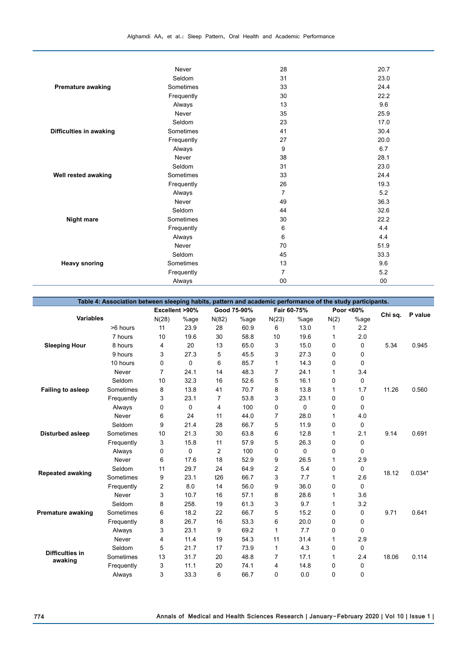Alghamdi AA, et al.: Sleep Pattern, Oral Health and Academic Performance

|                          | Never      | 28 |      |
|--------------------------|------------|----|------|
|                          |            |    | 20.7 |
|                          | Seldom     | 31 | 23.0 |
| <b>Premature awaking</b> | Sometimes  | 33 | 24.4 |
|                          | Frequently | 30 | 22.2 |
|                          | Always     | 13 | 9.6  |
|                          | Never      | 35 | 25.9 |
|                          | Seldom     | 23 | 17.0 |
| Difficulties in awaking  | Sometimes  | 41 | 30.4 |
|                          | Frequently | 27 | 20.0 |
|                          | Always     | 9  | 6.7  |
|                          | Never      | 38 | 28.1 |
| Well rested awaking      | Seldom     | 31 | 23.0 |
|                          | Sometimes  | 33 | 24.4 |
|                          | Frequently | 26 | 19.3 |
|                          | Always     | 7  | 5.2  |
|                          | Never      | 49 | 36.3 |
|                          | Seldom     | 44 | 32.6 |
| <b>Night mare</b>        | Sometimes  | 30 | 22.2 |
|                          | Frequently | 6  | 4.4  |
|                          | Always     | 6  | 4.4  |
|                          | Never      | 70 | 51.9 |
|                          | Seldom     | 45 | 33.3 |
| <b>Heavy snoring</b>     | Sometimes  | 13 | 9.6  |
|                          | Frequently | 7  | 5.2  |
|                          | Always     | 00 | 00   |
|                          |            |    |      |

| Table 4: Association between sleeping habits, pattern and academic performance of the study participants. |            |                |          |                |             |                |             |              |             |         |          |
|-----------------------------------------------------------------------------------------------------------|------------|----------------|----------|----------------|-------------|----------------|-------------|--------------|-------------|---------|----------|
|                                                                                                           |            | Excellent >90% |          |                | Good 75-90% |                | Fair 60-75% | Poor <60%    |             |         |          |
| <b>Variables</b>                                                                                          |            | N(28)          | %age     | N(82)          | %age        | N(23)          | %age        | N(2)         | %age        | Chi sq. | P value  |
|                                                                                                           | >6 hours   | 11             | 23.9     | 28             | 60.9        | 6              | 13.0        | 1            | 2.2         | 5.34    | 0.945    |
|                                                                                                           | 7 hours    | 10             | 19.6     | 30             | 58.8        | 10             | 19.6        | 1            | 2.0         |         |          |
| <b>Sleeping Hour</b>                                                                                      | 8 hours    | 4              | 20       | 13             | 65.0        | 3              | 15.0        | 0            | 0           |         |          |
|                                                                                                           | 9 hours    | 3              | 27.3     | 5              | 45.5        | 3              | 27.3        | 0            | $\mathbf 0$ |         |          |
|                                                                                                           | 10 hours   | 0              | $\Omega$ | 6              | 85.7        | $\mathbf{1}$   | 14.3        | 0            | 0           |         |          |
|                                                                                                           | Never      | $\overline{7}$ | 24.1     | 14             | 48.3        | $\overline{7}$ | 24.1        | 1            | 3.4         |         |          |
|                                                                                                           | Seldom     | 10             | 32.3     | 16             | 52.6        | 5              | 16.1        | 0            | 0           |         |          |
| <b>Failing to asleep</b>                                                                                  | Sometimes  | 8              | 13.8     | 41             | 70.7        | 8              | 13.8        | 1            | 1.7         | 11.26   | 0.560    |
|                                                                                                           | Frequently | 3              | 23.1     | 7              | 53.8        | 3              | 23.1        | 0            | $\Omega$    |         |          |
|                                                                                                           | Always     | 0              | 0        | 4              | 100         | 0              | 0           | 0            | $\mathbf 0$ |         |          |
|                                                                                                           | Never      | 6              | 24       | 11             | 44.0        | $\overline{7}$ | 28.0        | 1            | 4.0         |         | 0.691    |
|                                                                                                           | Seldom     | 9              | 21.4     | 28             | 66.7        | 5              | 11.9        | 0            | 0           |         |          |
| Disturbed asleep                                                                                          | Sometimes  | 10             | 21.3     | 30             | 63.8        | 6              | 12.8        | $\mathbf{1}$ | 2.1         | 9.14    |          |
|                                                                                                           | Frequently | 3              | 15.8     | 11             | 57.9        | 5              | 26.3        | 0            | 0           |         |          |
|                                                                                                           | Always     | 0              | 0        | $\overline{2}$ | 100         | 0              | $\Omega$    | 0            | $\Omega$    |         |          |
|                                                                                                           | Never      | 6              | 17.6     | 18             | 52.9        | 9              | 26.5        | 1            | 2.9         |         | $0.034*$ |
|                                                                                                           | Seldom     | 11             | 29.7     | 24             | 64.9        | 2              | 5.4         | 0            | 0           | 18.12   |          |
| <b>Repeated awaking</b>                                                                                   | Sometimes  | 9              | 23.1     | t26            | 66.7        | 3              | 7.7         | 1            | 2.6         |         |          |
|                                                                                                           | Frequently | 2              | 8.0      | 14             | 56.0        | 9              | 36.0        | 0            | $\Omega$    |         |          |
|                                                                                                           | Never      | 3              | 10.7     | 16             | 57.1        | 8              | 28.6        | 1            | 3.6         |         |          |
|                                                                                                           | Seldom     | 8              | 258.     | 19             | 61.3        | 3              | 9.7         | $\mathbf{1}$ | 3.2         |         |          |
| <b>Premature awaking</b>                                                                                  | Sometimes  | 6              | 18.2     | 22             | 66.7        | 5              | 15.2        | 0            | 0           | 9.71    | 0.641    |
|                                                                                                           | Frequently | 8              | 26.7     | 16             | 53.3        | 6              | 20.0        | 0            | 0           |         |          |
|                                                                                                           | Always     | 3              | 23.1     | 9              | 69.2        | 1              | 7.7         | 0            | $\Omega$    |         |          |
|                                                                                                           | Never      | 4              | 11.4     | 19             | 54.3        | 11             | 31.4        | 1            | 2.9         |         |          |
|                                                                                                           | Seldom     | 5              | 21.7     | 17             | 73.9        | $\mathbf{1}$   | 4.3         | 0            | $\mathbf 0$ |         |          |
| <b>Difficulties in</b><br>awaking                                                                         | Sometimes  | 13             | 31.7     | 20             | 48.8        | $\overline{7}$ | 17.1        | 1            | 2.4         | 18.06   | 0.114    |
|                                                                                                           | Frequently | 3              | 11.1     | 20             | 74.1        | 4              | 14.8        | 0            | 0           |         |          |
|                                                                                                           | Always     | 3              | 33.3     | 6              | 66.7        | $\Omega$       | 0.0         | 0            | $\mathbf 0$ |         |          |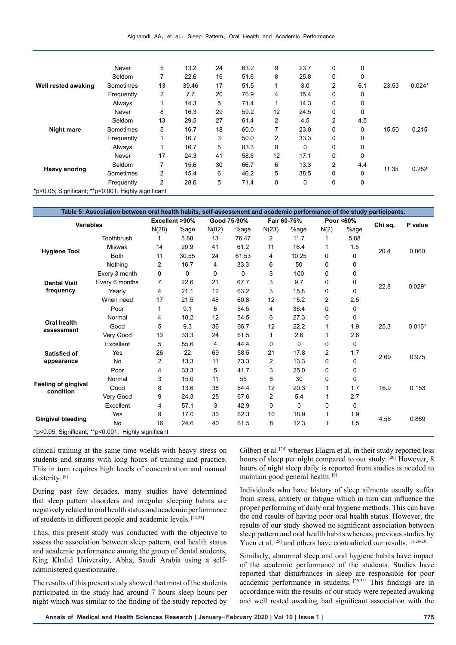| Well rested awaking                                                              | Never      | 5              | 13.2  | 24 | 63.2 | 9              | 23.7 | 0 | 0        |       |          |
|----------------------------------------------------------------------------------|------------|----------------|-------|----|------|----------------|------|---|----------|-------|----------|
|                                                                                  | Seldom     | 7              | 22.6  | 16 | 51.6 | 8              | 25.8 | 0 | $\Omega$ |       |          |
|                                                                                  | Sometimes  | 13             | 39.46 | 17 | 51.5 |                | 3.0  | 2 | 6.1      | 23.53 | $0.024*$ |
|                                                                                  | Frequently | 2              | 7.7   | 20 | 76.9 | 4              | 15.4 | 0 | 0        |       |          |
|                                                                                  | Always     | 1              | 14.3  | 5  | 71.4 | 1              | 14.3 | 0 | 0        |       |          |
|                                                                                  | Never      | 8              | 16.3  | 29 | 59.2 | 12             | 24.5 | 0 | 0        |       |          |
|                                                                                  | Seldom     | 13             | 29.5  | 27 | 61.4 | 2              | 4.5  | 2 | 4.5      |       |          |
| <b>Night mare</b>                                                                | Sometimes  | 5              | 16.7  | 18 | 60.0 | 7              | 23.0 | 0 | 0        | 15.50 | 0.215    |
|                                                                                  | Frequently | 1              | 16.7  | 3  | 50.0 | $\overline{2}$ | 33.3 | 0 | 0        |       |          |
|                                                                                  | Always     |                | 16.7  | 5  | 83.3 | 0              | 0    | 0 | 0        |       |          |
| <b>Heavy snoring</b>                                                             | Never      | 17             | 24.3  | 41 | 58.6 | 12             | 17.1 | 0 | $\Omega$ |       |          |
|                                                                                  | Seldom     | 7              | 15.6  | 30 | 66.7 | 6              | 13.3 | 2 | 4.4      |       |          |
|                                                                                  | Sometimes  | 2              | 15.4  | 6  | 46.2 | 5              | 38.5 | 0 | 0        | 11.35 | 0.252    |
|                                                                                  | Frequently | $\overline{c}$ | 28.6  | 5  | 71.4 | 0              | 0    | 0 | 0        |       |          |
| $\sim$ $\sim$ $\sim$<br>$\overline{\phantom{a}}$<br>the contract of the state of | .          |                |       |    |      |                |      |   |          |       |          |

\*p<0.05; Significant; \*\*p<0.001; Highly significant

|                                                     | Table 5: Association between oral health habits, self-assessment and academic performance of the study participants. |       |                |       |             |       |             |                |           |         |          |
|-----------------------------------------------------|----------------------------------------------------------------------------------------------------------------------|-------|----------------|-------|-------------|-------|-------------|----------------|-----------|---------|----------|
| <b>Variables</b>                                    |                                                                                                                      |       | Excellent >90% |       | Good 75-90% |       | Fair 60-75% |                | Poor <60% |         | P value  |
|                                                     |                                                                                                                      | N(28) | %age           | N(82) | %age        | N(23) | %age        | N(2)           | %age      | Chi sq. |          |
|                                                     | Toothbrush                                                                                                           | 1     | 5.88           | 13    | 76.47       | 2     | 11.7        | 1              | 5.88      | 20.4    |          |
| <b>Hygiene Tool</b>                                 | <b>Miswak</b>                                                                                                        | 14    | 20.9           | 41    | 61.2        | 11    | 16.4        |                | 1.5       |         | 0.060    |
|                                                     | <b>Both</b>                                                                                                          | 11    | 30.55          | 24    | 61.53       | 4     | 10.25       | 0              | 0         |         |          |
|                                                     | Nothing                                                                                                              | 2     | 16.7           | 4     | 33.3        | 6     | 50          | 0              | 0         |         |          |
|                                                     | Every 3 month                                                                                                        | 0     | 0              | 0     | 0           | 3     | 100         | 0              | 0         |         |          |
| <b>Dental Visit</b>                                 | Every 6 months                                                                                                       | 7     | 22.6           | 21    | 67.7        | 3     | 9.7         | 0              | 0         | 22.8    | $0.029*$ |
| frequency                                           | Yearly                                                                                                               | 4     | 21.1           | 12    | 63.2        | 3     | 15.8        | 0              | 0         |         |          |
|                                                     | When need                                                                                                            | 17    | 21.5           | 48    | 60.8        | 12    | 15.2        | $\overline{2}$ | 2.5       |         |          |
|                                                     | Poor                                                                                                                 | 1     | 9.1            | 6     | 54.5        | 4     | 36.4        | 0              | 0         |         |          |
|                                                     | Normal                                                                                                               | 4     | 18.2           | 12    | 54.5        | 6     | 27.3        | 0              | 0         | 25.3    | $0.013*$ |
| Oral health<br>assessment                           | Good                                                                                                                 | 5     | 9.3            | 36    | 66.7        | 12    | 22.2        | 1              | 1.9       |         |          |
|                                                     | Very Good                                                                                                            | 13    | 33.3           | 24    | 61.5        | 1     | 2.6         | 1              | 2.6       |         |          |
|                                                     | Excellent                                                                                                            | 5     | 55.6           | 4     | 44.4        | 0     | 0           | 0              | 0         |         |          |
| Satisfied of                                        | Yes                                                                                                                  | 26    | 22             | 69    | 58.5        | 21    | 17.8        | $\overline{c}$ | 1.7       | 2.69    | 0.975    |
| appearance                                          | <b>No</b>                                                                                                            | 2     | 13.3           | 11    | 73.3        | 2     | 13.3        | 0              | 0         |         |          |
|                                                     | Poor                                                                                                                 | 4     | 33.3           | 5     | 41.7        | 3     | 25.0        | 0              | 0         |         |          |
|                                                     | Normal                                                                                                               | 3     | 15.0           | 11    | 55          | 6     | 30          | 0              | 0         |         |          |
| Feeling of gingival<br>condition                    | Good                                                                                                                 | 8     | 13.6           | 38    | 64.4        | 12    | 20.3        | 1              | 1.7       | 16.9    | 0.153    |
|                                                     | Very Good                                                                                                            | 9     | 24.3           | 25    | 67.6        | 2     | 5.4         | 1              | 2.7       |         |          |
|                                                     | Excellent                                                                                                            | 4     | 57.1           | 3     | 42.9        | 0     | 0           | 0              | 0         |         |          |
|                                                     | Yes                                                                                                                  | 9     | 17.0           | 33    | 62.3        | 10    | 18.9        | 1              | 1.9       |         |          |
| <b>Gingival bleeding</b>                            | <b>No</b>                                                                                                            | 16    | 24.6           | 40    | 61.5        | 8     | 12.3        | 1              | 1.5       | 4.58    | 0.869    |
| *p<0.05; Significant; **p<0.001; Highly significant |                                                                                                                      |       |                |       |             |       |             |                |           |         |          |

clinical training at the same time wields with heavy stress on students and strains with long hours of training and practice. This in turn requires high levels of concentration and manual dexterity.<sup>[8]</sup>

During past few decades, many studies have determined that sleep pattern disorders and irregular sleeping habits are negatively related to oral health status and academic performance of students in different people and academic levels. [22,23]

Thus, this present study was conducted with the objective to assess the association between sleep pattern, oral health status and academic performance among the group of dental students, King Khalid University, Abha, Saudi Arabia using a selfadministered questionnaire.

The results of this present study showed that most of the students participated in the study had around 7 hours sleep hours per night which was similar to the finding of the study reported by

Gilbert et al.<sup>[24]</sup> whereas Elagra et al. in their study reported less hours of sleep per night compared to our study. [20] However, 8 hours of night sleep daily is reported from studies is needed to maintain good general health. [9]

Individuals who have history of sleep ailments usually suffer from stress, anxiety or fatigue which in turn can influence the proper performing of daily oral hygiene methods. This can have the end results of having poor oral health status. However, the results of our study showed no significant association between sleep pattern and oral health habits whereas, previous studies by Yuen et al.<sup>[25]</sup> and others have contradicted our results.<sup>[18,26-28]</sup>

Similarly, abnormal sleep and oral hygiene habits have impact of the academic performance of the students. Studies have reported that disturbances in sleep are responsible for poor academic performance in students. [29-31] This findings are in accordance with the results of our study were repeated awaking and well rested awaking had significant association with the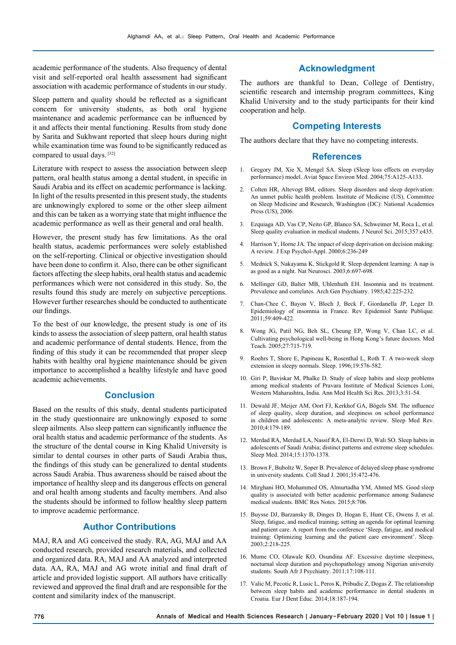academic performance of the students. Also frequency of dental visit and self-reported oral health assessment had significant association with academic performance of students in our study.

Sleep pattern and quality should be reflected as a significant concern for university students, as both oral hygiene maintenance and academic performance can be influenced by it and affects their mental functioning. Results from study done by Sarita and Sukhwant reported that sleep hours during night while examination time was found to be significantly reduced as compared to usual days. [32]

Literature with respect to assess the association between sleep pattern, oral health status among a dental student, in specific in Saudi Arabia and its effect on academic performance is lacking. In light of the results presented in this present study, the students are unknowingly explored to some or the other sleep ailment and this can be taken as a worrying state that might influence the academic performance as well as their general and oral health.

However, the present study has few limitations. As the oral health status, academic performances were solely established on the self-reporting. Clinical or objective investigation should have been done to confirm it. Also, there can be other significant factors affecting the sleep habits, oral health status and academic performances which were not considered in this study. So, the results found this study are merely on subjective perceptions. However further researches should be conducted to authenticate our findings.

To the best of our knowledge, the present study is one of its kinds to assess the association of sleep pattern, oral health status and academic performance of dental students. Hence, from the finding of this study it can be recommended that proper sleep habits with healthy oral hygiene maintenance should be given importance to accomplished a healthy lifestyle and have good academic achievements.

## **Conclusion**

Based on the results of this study, dental students participated in the study questionnaire are unknowingly exposed to some sleep ailments. Also sleep pattern can significantly influence the oral health status and academic performance of the students. As the structure of the dental course in King Khalid University is similar to dental courses in other parts of Saudi Arabia thus, the findings of this study can be generalized to dental students across Saudi Arabia. Thus awareness should be raised about the importance of healthy sleep and its dangerous effects on general and oral health among students and faculty members. And also the students should be informed to follow healthy sleep pattern to improve academic performance.

## **Author Contributions**

MAJ, RA and AG conceived the study. RA, AG, MAJ and AA conducted research, provided research materials, and collected and organized data. RA, MAJ and AA analyzed and interpreted data. AA, RA, MAJ and AG wrote initial and final draft of article and provided logistic support. All authors have critically reviewed and approved the final draft and are responsible for the content and similarity index of the manuscript.

## **Acknowledgment**

The authors are thankful to Dean, College of Dentistry, scientific research and internship program committees, King Khalid University and to the study participants for their kind cooperation and help.

## **Competing Interests**

The authors declare that they have no competing interests.

#### **References**

- 1. Gregory JM, Xie X, Mengel SA. Sleep (Sleep loss effects on everyday performance) model. Aviat Space Environ Med. 2004;75:A125-A133.
- 2. Colten HR, Altevogt BM, editors. Sleep disorders and sleep deprivation: An unmet public health problem. Institute of Medicine (US), Committee on Sleep Medicine and Research, Washington (DC): National Academies Press (US), 2006.
- 3. Ezquiaga AD, Vas CP, Neito GP, Blanco SA, Schweimer M, Roca L, et al. Sleep quality evaluation in medical students. J Neurol Sci. 2015;357:e435.
- 4. Harrison Y, Horne JA. The impact of sleep deprivation on decision making: A review. J Exp Psychol-Appl. 2000;6:236-249
- 5. Mednick S, Nakayama K, Stickgold R. Sleep dependent learning: A nap is as good as a night. Nat Neurosci. 2003;6:697-698.
- 6. Mellinger GD, Balter MB, Uhlenhuth EH. Insomnia and its treatment. Prevalence and correlates. Arch Gen Psychiatry. 1985;42:225-232.
- 7. Chan-Chee C, Bayon V, Bloch J, Beck F, Giordanella JP, Leger D. Epidemiology of insomnia in France. Rev Epidemiol Sante Publique. 2011;59:409-422.
- 8. Wong JG, Patil NG, Beh SL, Cheung EP, Wong V, Chan LC, et al. Cultivating psychological well-being in Hong Kong's future doctors. Med Teach. 2005;27:715-719.
- 9. Roehrs T, Shore E, Papineau K, Rosenthal L, Roth T. A two-week sleep extension in sleepy normals. Sleep. 1996;19:576-582.
- 10. Giri P, Baviskar M, Phalke D. Study of sleep habits and sleep problems among medical students of Pravara Institute of Medical Sciences Loni, Western Maharashtra, India. Ann Med Health Sci Res. 2013;3:51-54.
- 11. Dewald JF, Meijer AM, Oort FJ, Kerkhof GA, Bögels SM. The influence of sleep quality, sleep duration, and sleepiness on school performance in children and adolescents: A meta-analytic review. Sleep Med Rev. 2010;4:179-189.
- 12. Merdad RA, Merdad LA, Nassif RA, El-Derwi D, Wali SO. Sleep habits in adolescents of Saudi Arabia; distinct patterns and extreme sleep schedules. Sleep Med. 2014;15:1370-1378.
- 13. Brown F, Buboltz W, Soper B. Prevalence of delayed sleep phase syndrome in university students. Coll Stud J. 2001;35:472-476.
- 14. Mirghani HO, Mohammed OS, Almurtadha YM, Ahmed MS. Good sleep quality is associated with better academic performance among Sudanese medical students. BMC Res Notes. 2015;8:706.
- 15. Buysse DJ, Barzansky B, Dinges D, Hogan E, Hunt CE, Owens J, et al. Sleep, fatigue, and medical training; setting an agenda for optimal learning and patient care. A report from the conference 'Sleep, fatigue, and medical training: Optimizing learning and the patient care environment'. Sleep. 2003;2:218-225.
- 16. Mume CO, Olawale KO, Osundina AF. Excessive daytime sleepiness, nocturnal sleep duration and psychopathology among Nigerian university students. South Afr J Psychiatry. 2011;17:108-111.
- 17. Valic M, Pecotic R, Lusic L, Peros K, Pribudic Z, Dogas Z. The relationship between sleep habits and academic performance in dental students in Croatia. Eur J Dent Educ. 2014;18:187-194.